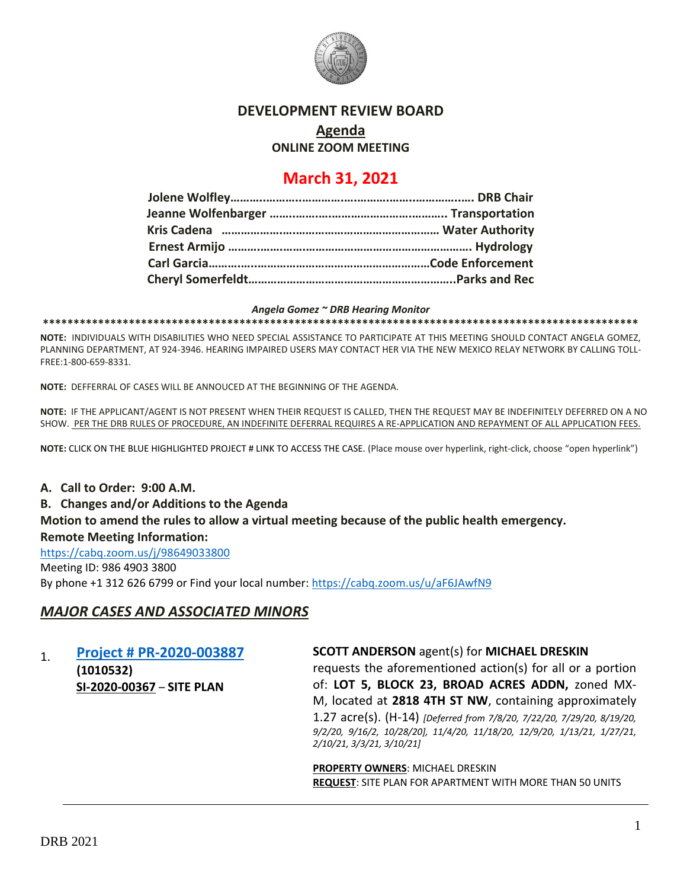

### **DEVELOPMENT REVIEW BOARD**

## **Agenda**

**ONLINE ZOOM MEETING**

# **March 31, 2021**

#### *Angela Gomez ~ DRB Hearing Monitor*

**\*\*\*\*\*\*\*\*\*\*\*\*\*\*\*\*\*\*\*\*\*\*\*\*\*\*\*\*\*\*\*\*\*\*\*\*\*\*\*\*\*\*\*\*\*\*\*\*\*\*\*\*\*\*\*\*\*\*\*\*\*\*\*\*\*\*\*\*\*\*\*\*\*\*\*\*\*\*\*\*\*\*\*\*\*\*\*\*\*\*\*\*\*\*\*\*\***

**NOTE:** INDIVIDUALS WITH DISABILITIES WHO NEED SPECIAL ASSISTANCE TO PARTICIPATE AT THIS MEETING SHOULD CONTACT ANGELA GOMEZ, PLANNING DEPARTMENT, AT 924-3946. HEARING IMPAIRED USERS MAY CONTACT HER VIA THE NEW MEXICO RELAY NETWORK BY CALLING TOLL-FREE:1-800-659-8331.

**NOTE:** DEFFERRAL OF CASES WILL BE ANNOUCED AT THE BEGINNING OF THE AGENDA.

**NOTE:** IF THE APPLICANT/AGENT IS NOT PRESENT WHEN THEIR REQUEST IS CALLED, THEN THE REQUEST MAY BE INDEFINITELY DEFERRED ON A NO SHOW. PER THE DRB RULES OF PROCEDURE, AN INDEFINITE DEFERRAL REQUIRES A RE-APPLICATION AND REPAYMENT OF ALL APPLICATION FEES.

**NOTE:** CLICK ON THE BLUE HIGHLIGHTED PROJECT # LINK TO ACCESS THE CASE. (Place mouse over hyperlink, right-click, choose "open hyperlink")

## **A. Call to Order: 9:00 A.M. B. Changes and/or Additions to the Agenda Motion to amend the rules to allow a virtual meeting because of the public health emergency. Remote Meeting Information:**

<https://cabq.zoom.us/j/98649033800> Meeting ID: 986 4903 3800 By phone +1 312 626 6799 or Find your local number:<https://cabq.zoom.us/u/aF6JAwfN9>

### *MAJOR CASES AND ASSOCIATED MINORS*

| <b>Project # PR-2020-003887</b> |
|---------------------------------|
| (1010532)                       |
| SI-2020-00367 - SITE PLAN       |

### **SCOTT ANDERSON** agent(s) for **MICHAEL DRESKIN**

requests the aforementioned action(s) for all or a portion of: **LOT 5, BLOCK 23, BROAD ACRES ADDN,** zoned MX-M, located at **2818 4TH ST NW**, containing approximately 1.27 acre(s). (H-14) *[Deferred from 7/8/20, 7/22/20, 7/29/20, 8/19/20, 9/2/20, 9/16/2, 10/28/20], 11/4/20, 11/18/20, 12/9/20, 1/13/21, 1/27/21, 2/10/21, 3/3/21, 3/10/21]*

**PROPERTY OWNERS**: MICHAEL DRESKIN **REQUEST**: SITE PLAN FOR APARTMENT WITH MORE THAN 50 UNITS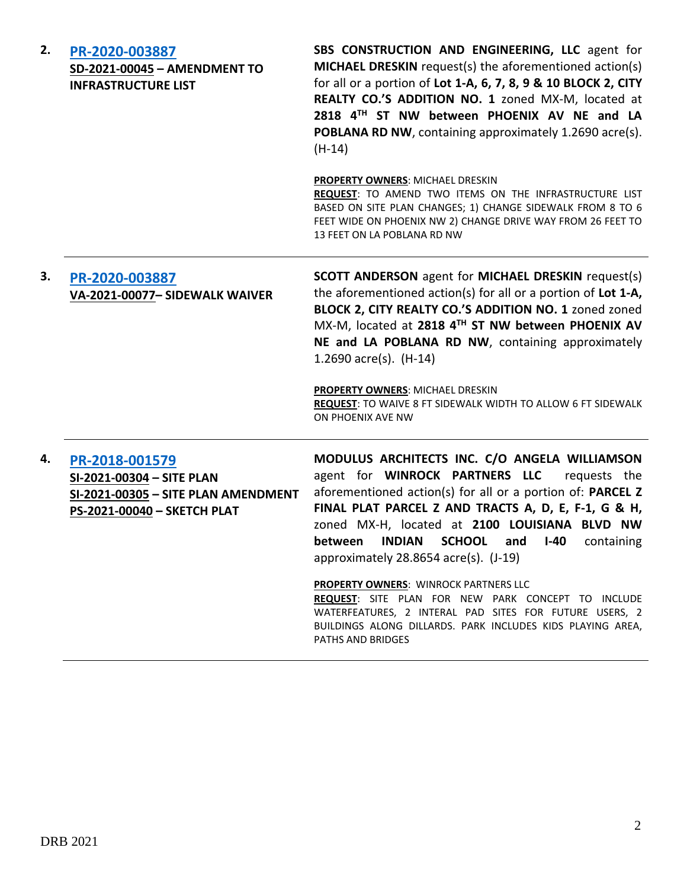| 2. | PR-2020-003887<br>SD-2021-00045 - AMENDMENT TO<br><b>INFRASTRUCTURE LIST</b>                                      | SBS CONSTRUCTION AND ENGINEERING, LLC agent for<br>MICHAEL DRESKIN request(s) the aforementioned action(s)<br>for all or a portion of Lot 1-A, 6, 7, 8, 9 & 10 BLOCK 2, CITY<br>REALTY CO.'S ADDITION NO. 1 zoned MX-M, located at<br>2818 4TH ST NW between PHOENIX AV NE and LA<br>POBLANA RD NW, containing approximately 1.2690 acre(s).<br>$(H-14)$            |
|----|-------------------------------------------------------------------------------------------------------------------|---------------------------------------------------------------------------------------------------------------------------------------------------------------------------------------------------------------------------------------------------------------------------------------------------------------------------------------------------------------------|
|    |                                                                                                                   | PROPERTY OWNERS: MICHAEL DRESKIN<br>REQUEST: TO AMEND TWO ITEMS ON THE INFRASTRUCTURE LIST<br>BASED ON SITE PLAN CHANGES; 1) CHANGE SIDEWALK FROM 8 TO 6<br>FEET WIDE ON PHOENIX NW 2) CHANGE DRIVE WAY FROM 26 FEET TO<br>13 FEET ON LA POBLANA RD NW                                                                                                              |
| 3. | PR-2020-003887<br>VA-2021-00077- SIDEWALK WAIVER                                                                  | <b>SCOTT ANDERSON</b> agent for MICHAEL DRESKIN request(s)<br>the aforementioned action(s) for all or a portion of Lot 1-A,<br>BLOCK 2, CITY REALTY CO.'S ADDITION NO. 1 zoned zoned<br>MX-M, located at 2818 4TH ST NW between PHOENIX AV<br>NE and LA POBLANA RD NW, containing approximately<br>1.2690 $\arccos 1$ . (H-14)                                      |
|    |                                                                                                                   | <b>PROPERTY OWNERS: MICHAEL DRESKIN</b><br><b>REQUEST:</b> TO WAIVE 8 FT SIDEWALK WIDTH TO ALLOW 6 FT SIDEWALK<br>ON PHOENIX AVE NW                                                                                                                                                                                                                                 |
| 4. | PR-2018-001579<br>SI-2021-00304 - SITE PLAN<br>SI-2021-00305 - SITE PLAN AMENDMENT<br>PS-2021-00040 - SKETCH PLAT | MODULUS ARCHITECTS INC. C/O ANGELA WILLIAMSON<br>agent for WINROCK PARTNERS LLC<br>requests the<br>aforementioned action(s) for all or a portion of: PARCEL Z<br>FINAL PLAT PARCEL Z AND TRACTS A, D, E, F-1, G & H,<br>zoned MX-H, located at 2100 LOUISIANA BLVD NW<br>INDIAN SCHOOL and I-40<br>between<br>containing<br>approximately $28.8654$ acre(s). (J-19) |
|    |                                                                                                                   | <b>PROPERTY OWNERS: WINROCK PARTNERS LLC</b><br>REQUEST: SITE PLAN FOR NEW PARK CONCEPT TO INCLUDE<br>WATERFEATURES, 2 INTERAL PAD SITES FOR FUTURE USERS, 2<br>BUILDINGS ALONG DILLARDS. PARK INCLUDES KIDS PLAYING AREA,<br>PATHS AND BRIDGES                                                                                                                     |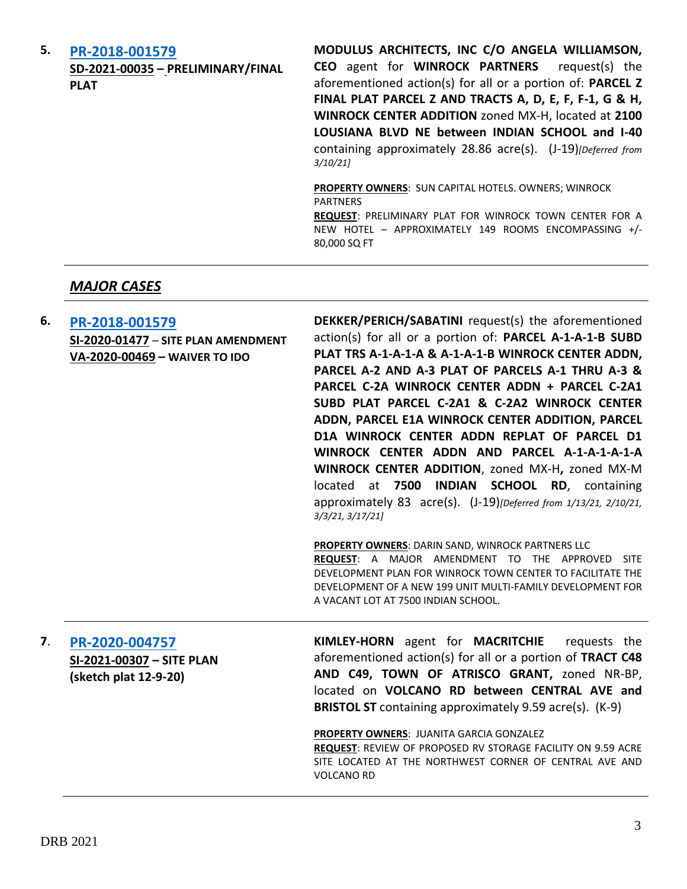| 5. | PR-2018-001579<br>SD-2021-00035 - PRELIMINARY/FINAL<br><b>PLAT</b> | MODULUS ARCHITECTS, INC C/O ANGELA WILLIAMSON,<br><b>CEO</b> agent for <b>WINROCK PARTNERS</b><br>request(s) the<br>aforementioned action(s) for all or a portion of: PARCEL Z<br>FINAL PLAT PARCEL Z AND TRACTS A, D, E, F, F-1, G & H,<br>WINROCK CENTER ADDITION zoned MX-H, located at 2100<br>LOUSIANA BLVD NE between INDIAN SCHOOL and I-40<br>containing approximately 28.86 acre(s). (J-19) [Deferred from<br>3/10/21 |
|----|--------------------------------------------------------------------|--------------------------------------------------------------------------------------------------------------------------------------------------------------------------------------------------------------------------------------------------------------------------------------------------------------------------------------------------------------------------------------------------------------------------------|
|    |                                                                    | <b>PROPERTY OWNERS: SUN CAPITAL HOTELS. OWNERS; WINROCK</b><br><b>PARTNERS</b><br><b>REQUEST: PRELIMINARY PLAT FOR WINROCK TOWN CENTER FOR A</b><br>NEW HOTEL - APPROXIMATELY 149 ROOMS ENCOMPASSING +/-<br>80,000 SQ FT                                                                                                                                                                                                       |

## *MAJOR CASES*

| 6. | PR-2018-001579<br>SI-2020-01477 - SITE PLAN AMENDMENT<br>VA-2020-00469 - WAIVER TO IDO | DEKKER/PERICH/SABATINI request(s) the aforementioned<br>action(s) for all or a portion of: PARCEL A-1-A-1-B SUBD<br>PLAT TRS A-1-A-1-A & A-1-A-1-B WINROCK CENTER ADDN,<br>PARCEL A-2 AND A-3 PLAT OF PARCELS A-1 THRU A-3 &<br>PARCEL C-2A WINROCK CENTER ADDN + PARCEL C-2A1<br>SUBD PLAT PARCEL C-2A1 & C-2A2 WINROCK CENTER<br>ADDN, PARCEL E1A WINROCK CENTER ADDITION, PARCEL |
|----|----------------------------------------------------------------------------------------|-------------------------------------------------------------------------------------------------------------------------------------------------------------------------------------------------------------------------------------------------------------------------------------------------------------------------------------------------------------------------------------|
|    |                                                                                        | D1A WINROCK CENTER ADDN REPLAT OF PARCEL D1<br>WINROCK CENTER ADDN AND PARCEL A-1-A-1-A-1-A<br>WINROCK CENTER ADDITION, zoned MX-H, zoned MX-M<br>at 7500 INDIAN SCHOOL RD, containing<br>located<br>approximately 83 acre(s). $(J-19)$ [Deferred from $1/13/21$ , $2/10/21$ ,<br>3/3/21, 3/17/21                                                                                   |
|    |                                                                                        | <b>PROPERTY OWNERS: DARIN SAND, WINROCK PARTNERS LLC</b><br><b>REQUEST:</b> A MAJOR AMENDMENT TO THE APPROVED SITE<br>DEVELOPMENT PLAN FOR WINROCK TOWN CENTER TO FACILITATE THE<br>DEVELOPMENT OF A NEW 199 UNIT MULTI-FAMILY DEVELOPMENT FOR<br>A VACANT LOT AT 7500 INDIAN SCHOOL.                                                                                               |
| 7. | PR-2020-004757<br>SI-2021-00307 - SITE PLAN<br>(sketch plat 12-9-20)                   | KIMLEY-HORN agent for MACRITCHIE<br>requests the<br>aforementioned action(s) for all or a portion of TRACT C48<br>AND C49, TOWN OF ATRISCO GRANT, zoned NR-BP,<br>located on VOLCANO RD between CENTRAL AVE and<br><b>BRISTOL ST</b> containing approximately 9.59 acre(s). (K-9)                                                                                                   |
|    |                                                                                        | PROPERTY OWNERS: JUANITA GARCIA GONZALEZ<br>REQUEST: REVIEW OF PROPOSED RV STORAGE FACILITY ON 9.59 ACRE<br>SITE LOCATED AT THE NORTHWEST CORNER OF CENTRAL AVE AND<br><b>VOLCANO RD</b>                                                                                                                                                                                            |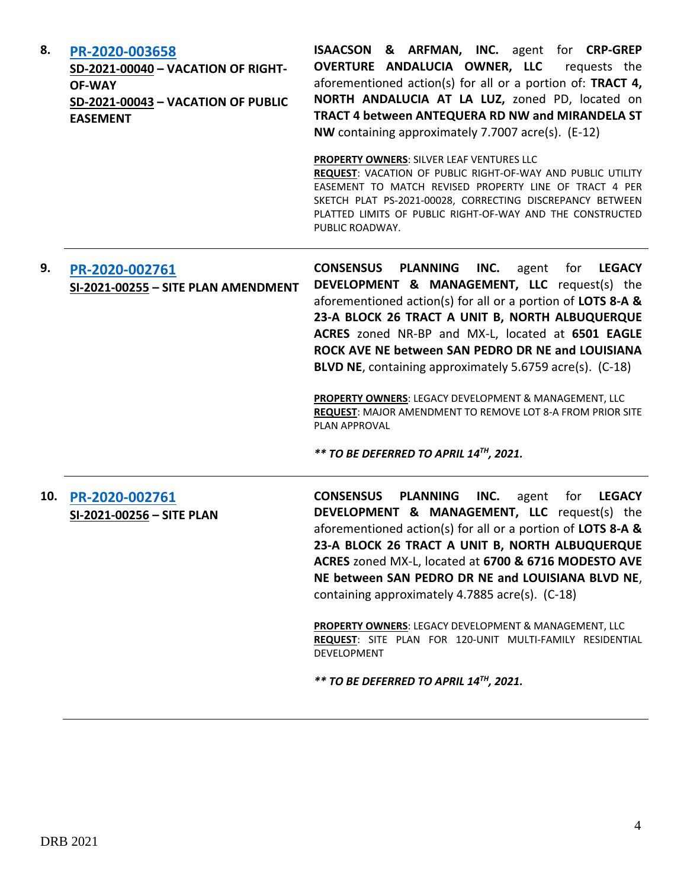| 8.  | PR-2020-003658<br>SD-2021-00040 - VACATION OF RIGHT-<br><b>OF-WAY</b><br>SD-2021-00043 - VACATION OF PUBLIC<br><b>EASEMENT</b> | <b>ISAACSON &amp; ARFMAN, INC.</b> agent for CRP-GREP<br>OVERTURE ANDALUCIA OWNER, LLC<br>requests the<br>aforementioned action(s) for all or a portion of: TRACT 4,<br>NORTH ANDALUCIA AT LA LUZ, zoned PD, located on<br>TRACT 4 between ANTEQUERA RD NW and MIRANDELA ST<br>NW containing approximately 7.7007 acre(s). (E-12)<br>PROPERTY OWNERS: SILVER LEAF VENTURES LLC                                                                                                                                                                                                                                   |
|-----|--------------------------------------------------------------------------------------------------------------------------------|------------------------------------------------------------------------------------------------------------------------------------------------------------------------------------------------------------------------------------------------------------------------------------------------------------------------------------------------------------------------------------------------------------------------------------------------------------------------------------------------------------------------------------------------------------------------------------------------------------------|
|     |                                                                                                                                | REQUEST: VACATION OF PUBLIC RIGHT-OF-WAY AND PUBLIC UTILITY<br>EASEMENT TO MATCH REVISED PROPERTY LINE OF TRACT 4 PER<br>SKETCH PLAT PS-2021-00028, CORRECTING DISCREPANCY BETWEEN<br>PLATTED LIMITS OF PUBLIC RIGHT-OF-WAY AND THE CONSTRUCTED<br>PUBLIC ROADWAY.                                                                                                                                                                                                                                                                                                                                               |
| 9.  | PR-2020-002761<br>SI-2021-00255 - SITE PLAN AMENDMENT                                                                          | <b>CONSENSUS</b><br><b>PLANNING</b><br>INC.<br>agent<br>for<br><b>LEGACY</b><br>DEVELOPMENT & MANAGEMENT, LLC request(s) the<br>aforementioned action(s) for all or a portion of LOTS 8-A &<br>23-A BLOCK 26 TRACT A UNIT B, NORTH ALBUQUERQUE<br>ACRES zoned NR-BP and MX-L, located at 6501 EAGLE<br>ROCK AVE NE between SAN PEDRO DR NE and LOUISIANA<br>BLVD NE, containing approximately 5.6759 acre(s). (C-18)<br>PROPERTY OWNERS: LEGACY DEVELOPMENT & MANAGEMENT, LLC<br>REQUEST: MAJOR AMENDMENT TO REMOVE LOT 8-A FROM PRIOR SITE<br>PLAN APPROVAL<br>** TO BE DEFERRED TO APRIL 14TH, 2021.           |
| 10. | PR-2020-002761<br>SI-2021-00256 - SITE PLAN                                                                                    | <b>PLANNING</b><br><b>CONSENSUS</b><br>INC.<br>agent<br>for<br><b>LEGACY</b><br>DEVELOPMENT & MANAGEMENT, LLC request(s) the<br>aforementioned action(s) for all or a portion of LOTS 8-A &<br>23-A BLOCK 26 TRACT A UNIT B, NORTH ALBUQUERQUE<br>ACRES zoned MX-L, located at 6700 & 6716 MODESTO AVE<br>NE between SAN PEDRO DR NE and LOUISIANA BLVD NE,<br>containing approximately 4.7885 acre(s). (C-18)<br>PROPERTY OWNERS: LEGACY DEVELOPMENT & MANAGEMENT, LLC<br>REQUEST: SITE PLAN FOR 120-UNIT MULTI-FAMILY RESIDENTIAL<br><b>DEVELOPMENT</b><br>** TO BE DEFERRED TO APRIL 14 <sup>TH</sup> , 2021. |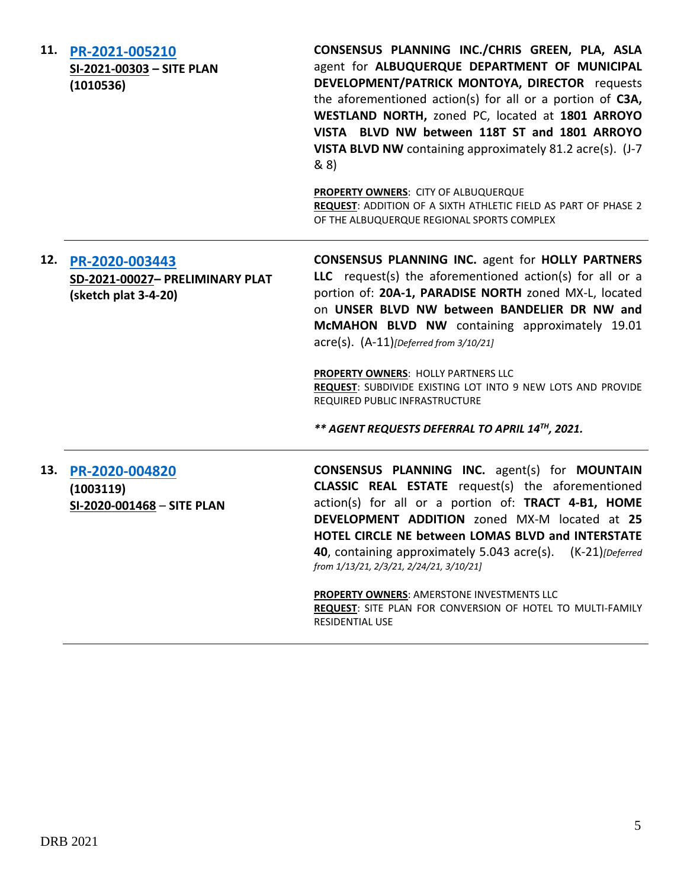**11. [PR-2021-005210](http://data.cabq.gov/government/planning/DRB/PR-2021-005210/DRB%20Submittals/PR-2021-005210_March_31,%202021/Application/) SI-2021-00303 – SITE PLAN (1010536) CONSENSUS PLANNING INC./CHRIS GREEN, PLA, ASLA**  agent for **ALBUQUERQUE DEPARTMENT OF MUNICIPAL DEVELOPMENT/PATRICK MONTOYA, DIRECTOR** requests the aforementioned action(s) for all or a portion of **C3A, WESTLAND NORTH,** zoned PC, located at **1801 ARROYO VISTA BLVD NW between 118T ST and 1801 ARROYO VISTA BLVD NW** containing approximately 81.2 acre(s). (J-7 & 8) **PROPERTY OWNERS**: CITY OF ALBUQUERQUE **REQUEST**: ADDITION OF A SIXTH ATHLETIC FIELD AS PART OF PHASE 2 OF THE ALBUQUERQUE REGIONAL SPORTS COMPLEX **12. [PR-2020-003443](http://data.cabq.gov/government/planning/DRB/PR-2020-003443/DRB%20Submittals/PR-2021-003443_Mar_10_2021/Application/DRB%20PP%20Consensus%20PR-2020-003443%20SD-2021-00027%20signed%20copy.pdf) SD-2021-00027– PRELIMINARY PLAT (sketch plat 3-4-20) CONSENSUS PLANNING INC.** agent for **HOLLY PARTNERS LLC** request(s) the aforementioned action(s) for all or a portion of: **20A-1, PARADISE NORTH** zoned MX-L, located on **UNSER BLVD NW between BANDELIER DR NW and McMAHON BLVD NW** containing approximately 19.01 acre(s). (A-11)*[Deferred from 3/10/21]* **PROPERTY OWNERS**: HOLLY PARTNERS LLC **REQUEST**: SUBDIVIDE EXISTING LOT INTO 9 NEW LOTS AND PROVIDE REQUIRED PUBLIC INFRASTRUCTURE *\*\* AGENT REQUESTS DEFERRAL TO APRIL 14TH, 2021.* **13. [PR-2020-004820](http://data.cabq.gov/government/planning/DRB/PR-2020-004820/DRB%20Submittals/) (1003119) SI-2020-001468** – **SITE PLAN CONSENSUS PLANNING INC.** agent(s) for **MOUNTAIN CLASSIC REAL ESTATE** request(s) the aforementioned action(s) for all or a portion of: **TRACT 4-B1, HOME DEVELOPMENT ADDITION** zoned MX-M located at **25 HOTEL CIRCLE NE between LOMAS BLVD and INTERSTATE 40**, containing approximately 5.043 acre(s). (K-21)*[Deferred from 1/13/21, 2/3/21, 2/24/21, 3/10/21]* **PROPERTY OWNERS**: AMERSTONE INVESTMENTS LLC **REQUEST**: SITE PLAN FOR CONVERSION OF HOTEL TO MULTI-FAMILY RESIDENTIAL USE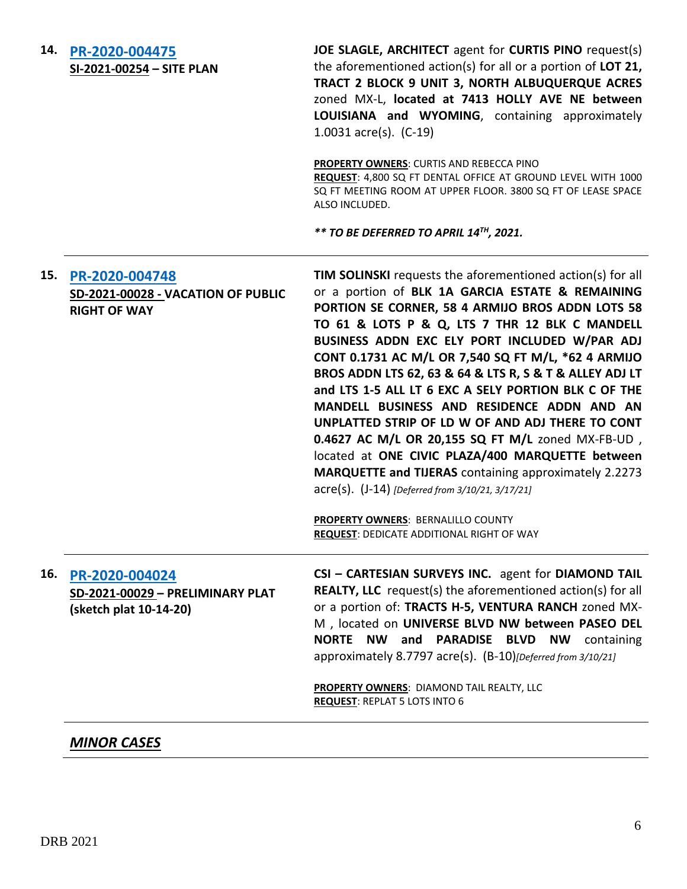| 14. | PR-2020-004475<br>SI-2021-00254 - SITE PLAN                                  | JOE SLAGLE, ARCHITECT agent for CURTIS PINO request(s)<br>the aforementioned action(s) for all or a portion of LOT 21,<br>TRACT 2 BLOCK 9 UNIT 3, NORTH ALBUQUERQUE ACRES<br>zoned MX-L, located at 7413 HOLLY AVE NE between<br>LOUISIANA and WYOMING, containing approximately<br>1.0031 $\arccos 1$ (C-19)                                                                                                                                                                                                                                                                                                                                                                                                                                                                  |
|-----|------------------------------------------------------------------------------|--------------------------------------------------------------------------------------------------------------------------------------------------------------------------------------------------------------------------------------------------------------------------------------------------------------------------------------------------------------------------------------------------------------------------------------------------------------------------------------------------------------------------------------------------------------------------------------------------------------------------------------------------------------------------------------------------------------------------------------------------------------------------------|
|     |                                                                              | PROPERTY OWNERS: CURTIS AND REBECCA PINO<br>REQUEST: 4,800 SQ FT DENTAL OFFICE AT GROUND LEVEL WITH 1000<br>SQ FT MEETING ROOM AT UPPER FLOOR. 3800 SQ FT OF LEASE SPACE<br>ALSO INCLUDED.                                                                                                                                                                                                                                                                                                                                                                                                                                                                                                                                                                                     |
|     |                                                                              | ** TO BE DEFERRED TO APRIL 14 <sup>TH</sup> , 2021.                                                                                                                                                                                                                                                                                                                                                                                                                                                                                                                                                                                                                                                                                                                            |
| 15. | PR-2020-004748<br>SD-2021-00028 - VACATION OF PUBLIC<br><b>RIGHT OF WAY</b>  | TIM SOLINSKI requests the aforementioned action(s) for all<br>or a portion of BLK 1A GARCIA ESTATE & REMAINING<br>PORTION SE CORNER, 58 4 ARMIJO BROS ADDN LOTS 58<br>TO 61 & LOTS P & Q, LTS 7 THR 12 BLK C MANDELL<br>BUSINESS ADDN EXC ELY PORT INCLUDED W/PAR ADJ<br>CONT 0.1731 AC M/L OR 7,540 SQ FT M/L, *62 4 ARMIJO<br>BROS ADDN LTS 62, 63 & 64 & LTS R, S & T & ALLEY ADJ LT<br>and LTS 1-5 ALL LT 6 EXC A SELY PORTION BLK C OF THE<br>MANDELL BUSINESS AND RESIDENCE ADDN AND AN<br>UNPLATTED STRIP OF LD W OF AND ADJ THERE TO CONT<br>0.4627 AC M/L OR 20,155 SQ FT M/L zoned MX-FB-UD,<br>located at ONE CIVIC PLAZA/400 MARQUETTE between<br><b>MARQUETTE and TIJERAS</b> containing approximately 2.2273<br>acre(s). (J-14) [Deferred from 3/10/21, 3/17/21] |
|     |                                                                              | PROPERTY OWNERS: BERNALILLO COUNTY<br><b>REQUEST: DEDICATE ADDITIONAL RIGHT OF WAY</b>                                                                                                                                                                                                                                                                                                                                                                                                                                                                                                                                                                                                                                                                                         |
| 16. | PR-2020-004024<br>SD-2021-00029 - PRELIMINARY PLAT<br>(sketch plat 10-14-20) | CSI - CARTESIAN SURVEYS INC. agent for DIAMOND TAIL<br><b>REALTY, LLC</b> request(s) the aforementioned action(s) for all<br>or a portion of: TRACTS H-5, VENTURA RANCH zoned MX-<br>M , located on UNIVERSE BLVD NW between PASEO DEL<br>NORTE NW and<br>PARADISE BLVD NW<br>containing<br>approximately 8.7797 acre(s). (B-10)[Deferred from 3/10/21]                                                                                                                                                                                                                                                                                                                                                                                                                        |
|     |                                                                              | PROPERTY OWNERS: DIAMOND TAIL REALTY, LLC<br><b>REQUEST: REPLAT 5 LOTS INTO 6</b>                                                                                                                                                                                                                                                                                                                                                                                                                                                                                                                                                                                                                                                                                              |

## *MINOR CASES*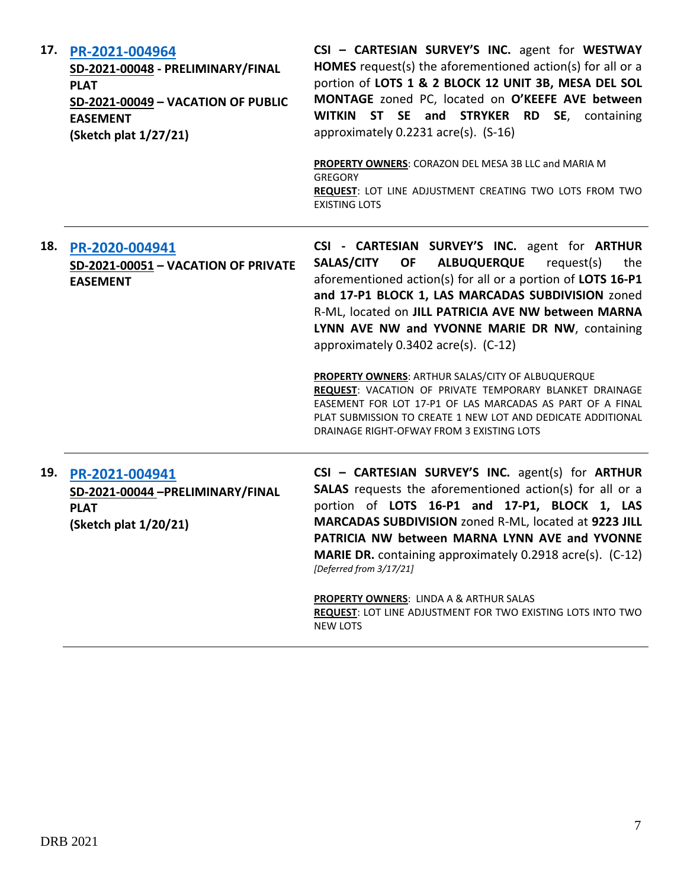| 17. | PR-2021-004964<br>SD-2021-00048 - PRELIMINARY/FINAL<br><b>PLAT</b><br>SD-2021-00049 - VACATION OF PUBLIC<br><b>EASEMENT</b><br>(Sketch plat 1/27/21) | CSI - CARTESIAN SURVEY'S INC. agent for WESTWAY<br>HOMES request(s) the aforementioned action(s) for all or a<br>portion of LOTS 1 & 2 BLOCK 12 UNIT 3B, MESA DEL SOL<br>MONTAGE zoned PC, located on O'KEEFE AVE between<br>WITKIN ST SE and STRYKER RD SE, containing<br>approximately 0.2231 acre(s). (S-16)<br>PROPERTY OWNERS: CORAZON DEL MESA 3B LLC and MARIA M<br><b>GREGORY</b><br>REQUEST: LOT LINE ADJUSTMENT CREATING TWO LOTS FROM TWO |
|-----|------------------------------------------------------------------------------------------------------------------------------------------------------|------------------------------------------------------------------------------------------------------------------------------------------------------------------------------------------------------------------------------------------------------------------------------------------------------------------------------------------------------------------------------------------------------------------------------------------------------|
|     |                                                                                                                                                      | <b>EXISTING LOTS</b>                                                                                                                                                                                                                                                                                                                                                                                                                                 |
| 18. | PR-2020-004941<br>SD-2021-00051 - VACATION OF PRIVATE<br><b>EASEMENT</b>                                                                             | CSI - CARTESIAN SURVEY'S INC. agent for ARTHUR<br>SALAS/CITY OF<br><b>ALBUQUERQUE</b><br>request(s)<br>the<br>aforementioned action(s) for all or a portion of LOTS 16-P1<br>and 17-P1 BLOCK 1, LAS MARCADAS SUBDIVISION zoned<br>R-ML, located on JILL PATRICIA AVE NW between MARNA<br>LYNN AVE NW and YVONNE MARIE DR NW, containing<br>approximately 0.3402 acre(s). (C-12)                                                                      |
|     |                                                                                                                                                      | PROPERTY OWNERS: ARTHUR SALAS/CITY OF ALBUQUERQUE<br>REQUEST: VACATION OF PRIVATE TEMPORARY BLANKET DRAINAGE<br>EASEMENT FOR LOT 17-P1 OF LAS MARCADAS AS PART OF A FINAL<br>PLAT SUBMISSION TO CREATE 1 NEW LOT AND DEDICATE ADDITIONAL<br>DRAINAGE RIGHT-OFWAY FROM 3 EXISTING LOTS                                                                                                                                                                |
|     | 19. PR-2021-004941<br>SD-2021-00044 -PRELIMINARY/FINAL<br><b>PLAT</b><br>(Sketch plat 1/20/21)                                                       | CSI - CARTESIAN SURVEY'S INC. agent(s) for ARTHUR<br><b>SALAS</b> requests the aforementioned action(s) for all or a<br>portion of LOTS 16-P1 and 17-P1, BLOCK 1, LAS<br>MARCADAS SUBDIVISION zoned R-ML, located at 9223 JILL<br>PATRICIA NW between MARNA LYNN AVE and YVONNE<br><b>MARIE DR.</b> containing approximately 0.2918 acre(s). (C-12)<br>[Deferred from 3/17/21]                                                                       |
|     |                                                                                                                                                      | <b>PROPERTY OWNERS: LINDA A &amp; ARTHUR SALAS</b><br>REQUEST: LOT LINE ADJUSTMENT FOR TWO EXISTING LOTS INTO TWO<br><b>NEW LOTS</b>                                                                                                                                                                                                                                                                                                                 |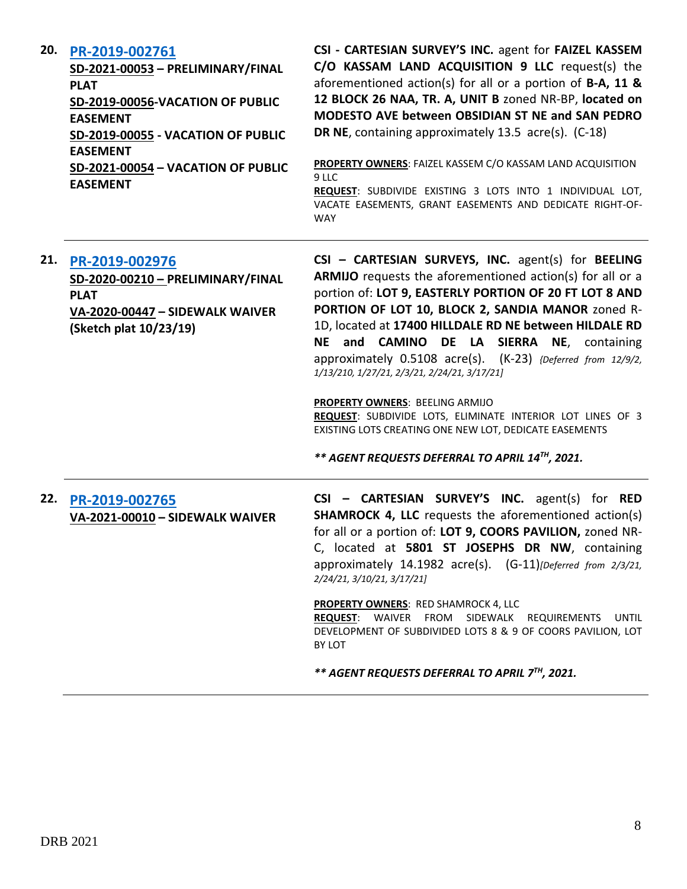#### **20. [PR-2019-002761](http://data.cabq.gov/government/planning/DRB/PR-2019-002761/DRB%20Submittals/PR-2019-002761_Mar_31_2021/Application/Plat%20Submittal%20Combined-2.pdf)**

**SD-2021-00053 – PRELIMINARY/FINAL PLAT SD-2019-00056-VACATION OF PUBLIC EASEMENT SD-2019-00055 - VACATION OF PUBLIC EASEMENT SD-2021-00054 – VACATION OF PUBLIC**  **CSI - CARTESIAN SURVEY'S INC.** agent for **FAIZEL KASSEM C/O KASSAM LAND ACQUISITION 9 LLC** request(s) the aforementioned action(s) for all or a portion of **B-A, 11 & 12 BLOCK 26 NAA, TR. A, UNIT B** zoned NR-BP, **located on MODESTO AVE between OBSIDIAN ST NE and SAN PEDRO DR NE**, containing approximately 13.5 acre(s). (C-18)

**PROPERTY OWNERS**: FAIZEL KASSEM C/O KASSAM LAND ACQUISITION 9 LLC **REQUEST**: SUBDIVIDE EXISTING 3 LOTS INTO 1 INDIVIDUAL LOT, VACATE EASEMENTS, GRANT EASEMENTS AND DEDICATE RIGHT-OF-WAY

### **21. [PR-2019-002976](http://data.cabq.gov/government/planning/DRB/PR-2019-002976/DRB%20Submittals/)**

**EASEMENT**

**SD-2020-00210 – PRELIMINARY/FINAL PLAT VA-2020-00447 – SIDEWALK WAIVER (Sketch plat 10/23/19)**

**CSI – CARTESIAN SURVEYS, INC.** agent(s) for **BEELING ARMIJO** requests the aforementioned action(s) for all or a portion of: **LOT 9, EASTERLY PORTION OF 20 FT LOT 8 AND PORTION OF LOT 10, BLOCK 2, SANDIA MANOR** zoned R-1D, located at **17400 HILLDALE RD NE between HILDALE RD NE and CAMINO DE LA SIERRA NE**, containing approximately 0.5108 acre(s). (K-23) *{Deferred from 12/9/2, 1/13/210, 1/27/21, 2/3/21, 2/24/21, 3/17/21]*

**PROPERTY OWNERS**: BEELING ARMIJO

**REQUEST**: SUBDIVIDE LOTS, ELIMINATE INTERIOR LOT LINES OF 3 EXISTING LOTS CREATING ONE NEW LOT, DEDICATE EASEMENTS

*\*\* AGENT REQUESTS DEFERRAL TO APRIL 14TH, 2021.*

## **22. [PR-2019-002765](http://data.cabq.gov/government/planning/DRB/PR-2019-002765/DRB%20Submittals/) VA-2021-00010 – SIDEWALK WAIVER**

**CSI – CARTESIAN SURVEY'S INC.** agent(s) for **RED SHAMROCK 4, LLC** requests the aforementioned action(s) for all or a portion of: **LOT 9, COORS PAVILION,** zoned NR-C, located at **5801 ST JOSEPHS DR NW**, containing approximately 14.1982 acre(s). (G-11)*[Deferred from 2/3/21, 2/24/21, 3/10/21, 3/17/21]*

**PROPERTY OWNERS**: RED SHAMROCK 4, LLC **REQUEST**: WAIVER FROM SIDEWALK REQUIREMENTS UNTIL DEVELOPMENT OF SUBDIVIDED LOTS 8 & 9 OF COORS PAVILION, LOT BY LOT

*\*\* AGENT REQUESTS DEFERRAL TO APRIL 7 TH, 2021.*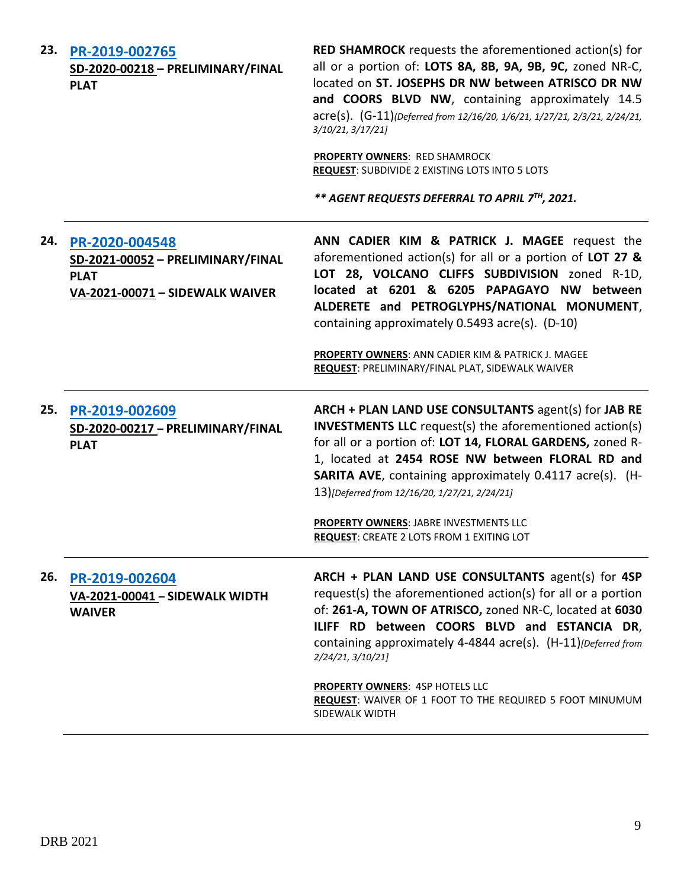| 23. | PR-2019-002765<br>SD-2020-00218 - PRELIMINARY/FINAL<br><b>PLAT</b>                                    | <b>RED SHAMROCK</b> requests the aforementioned action(s) for<br>all or a portion of: LOTS 8A, 8B, 9A, 9B, 9C, zoned NR-C,<br>located on ST. JOSEPHS DR NW between ATRISCO DR NW<br>and COORS BLVD NW, containing approximately 14.5<br>acre(s). (G-11)(Deferred from 12/16/20, 1/6/21, 1/27/21, 2/3/21, 2/24/21,<br>3/10/21, 3/17/21]<br><b>PROPERTY OWNERS: RED SHAMROCK</b><br>REQUEST: SUBDIVIDE 2 EXISTING LOTS INTO 5 LOTS<br>** AGENT REQUESTS DEFERRAL TO APRIL 7TH, 2021. |
|-----|-------------------------------------------------------------------------------------------------------|------------------------------------------------------------------------------------------------------------------------------------------------------------------------------------------------------------------------------------------------------------------------------------------------------------------------------------------------------------------------------------------------------------------------------------------------------------------------------------|
| 24. | PR-2020-004548<br>SD-2021-00052 - PRELIMINARY/FINAL<br><b>PLAT</b><br>VA-2021-00071 - SIDEWALK WAIVER | ANN CADIER KIM & PATRICK J. MAGEE request the<br>aforementioned action(s) for all or a portion of LOT 27 $\&$<br>LOT 28, VOLCANO CLIFFS SUBDIVISION zoned R-1D,<br>located at 6201 & 6205 PAPAGAYO NW between<br>ALDERETE and PETROGLYPHS/NATIONAL MONUMENT,<br>containing approximately 0.5493 acre(s). (D-10)<br>PROPERTY OWNERS: ANN CADIER KIM & PATRICK J. MAGEE<br>REQUEST: PRELIMINARY/FINAL PLAT, SIDEWALK WAIVER                                                          |
| 25. | PR-2019-002609<br>SD-2020-00217 - PRELIMINARY/FINAL<br><b>PLAT</b>                                    | ARCH + PLAN LAND USE CONSULTANTS agent(s) for JAB RE<br><b>INVESTMENTS LLC</b> request(s) the aforementioned action(s)<br>for all or a portion of: LOT 14, FLORAL GARDENS, zoned R-<br>1, located at 2454 ROSE NW between FLORAL RD and<br><b>SARITA AVE, containing approximately 0.4117 acre(s). (H-</b><br>13)[Deferred from 12/16/20, 1/27/21, 2/24/21]<br><b>PROPERTY OWNERS: JABRE INVESTMENTS LLC</b><br>REQUEST: CREATE 2 LOTS FROM 1 EXITING LOT                          |
| 26. | PR-2019-002604<br>VA-2021-00041 - SIDEWALK WIDTH<br><b>WAIVER</b>                                     | ARCH + PLAN LAND USE CONSULTANTS agent(s) for 4SP<br>request(s) the aforementioned action(s) for all or a portion<br>of: 261-A, TOWN OF ATRISCO, zoned NR-C, located at 6030<br>ILIFF RD between COORS BLVD and ESTANCIA DR,<br>containing approximately 4-4844 acre(s). (H-11)[Deferred from<br>2/24/21, 3/10/21]                                                                                                                                                                 |
|     |                                                                                                       | <b>PROPERTY OWNERS: 4SP HOTELS LLC</b><br>REQUEST: WAIVER OF 1 FOOT TO THE REQUIRED 5 FOOT MINUMUM<br>SIDEWALK WIDTH                                                                                                                                                                                                                                                                                                                                                               |